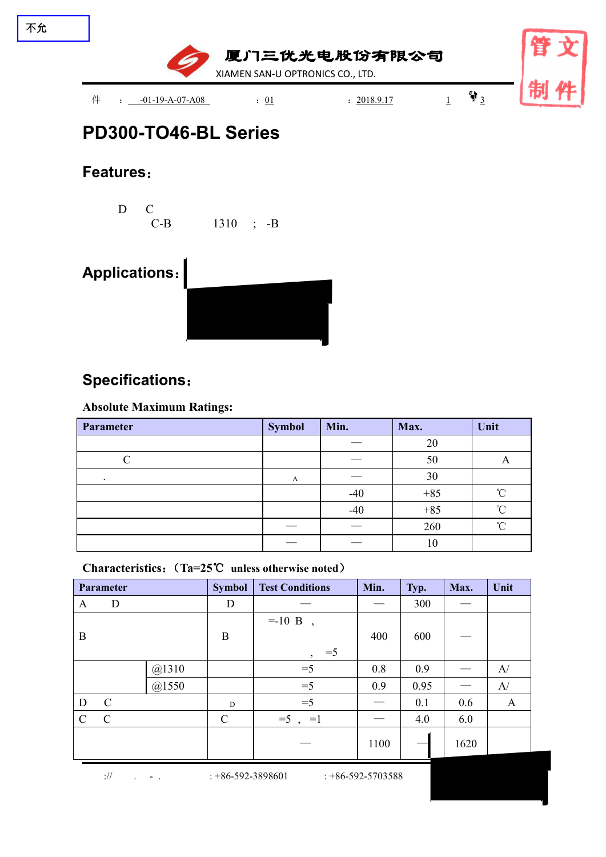

# **PD300-TO46-BL Series**

### **Features**:

D C C-B 1310 ; -B

# **Applications**:



### **Specifications**:

#### **Absolute Maximum Ratings:**

| Parameter | <b>Symbol</b> | Min.  | Max.  | Unit       |
|-----------|---------------|-------|-------|------------|
|           |               |       | 20    |            |
|           |               |       | 50    |            |
| $\cdot$   | A             |       | 30    |            |
|           |               | $-40$ | $+85$ | $\sim$     |
|           |               | $-40$ | $+85$ | $^{\circ}$ |
|           |               |       | 260   | $\sim$     |
|           |               |       | 10    |            |

**Characteristics**:(**Ta=25**℃ **unless otherwise noted**)

| Parameter     |               | <b>Symbol</b> | <b>Test Conditions</b> | Min.                   | Typ. | Max. | Unit |              |
|---------------|---------------|---------------|------------------------|------------------------|------|------|------|--------------|
| A             | D             |               | D                      |                        |      | 300  |      |              |
|               |               |               |                        | $= -10$ B              |      |      |      |              |
| $\mathbf{B}$  |               |               | $\boldsymbol{B}$       |                        |      | 600  |      |              |
|               |               |               |                        | $=5$<br>$\overline{ }$ |      |      |      |              |
|               |               | @1310         |                        | $=5$                   | 0.8  | 0.9  |      | A/           |
|               |               | @1550         |                        | $=5$                   | 0.9  | 0.95 |      | A/           |
| $\mathbf D$   | $\mathcal{C}$ |               | D                      | $=5$                   |      | 0.1  | 0.6  | $\mathbf{A}$ |
| $\mathcal{C}$ | $\mathbf C$   |               | $\mathcal{C}$          | $=5$ , $=1$            |      | 4.0  | 6.0  |              |
|               |               |               |                        | ___                    | 1100 |      | 1620 |              |

 $\frac{1}{10}$  . - . : +86-592-3898601 : +86-592-5703588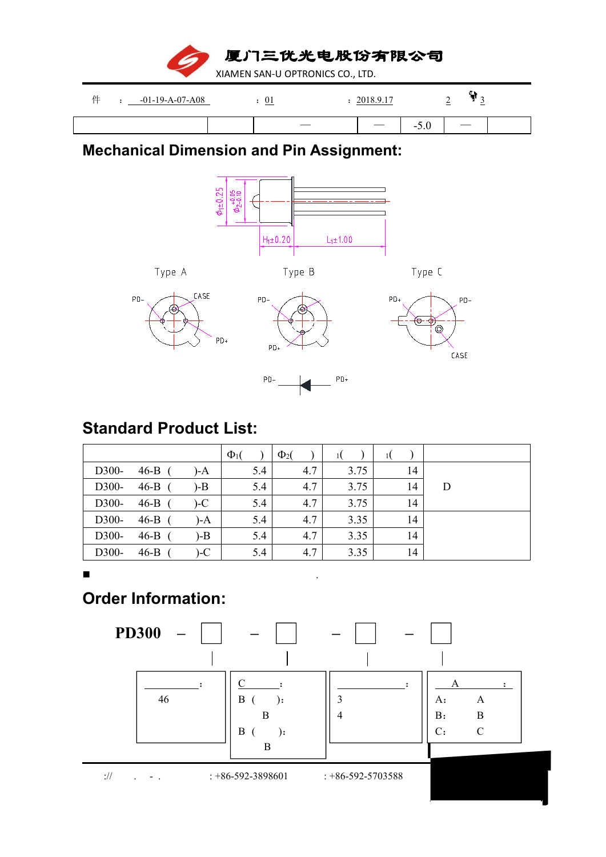厦门三优光电股份有限公司 XIAMEN SAN-U OPTRONICS CO., LTD.

| 71 | $-01-19-A-07-A08$ | ◡▴<br>$-$ |                             | . 0.17<br>2010 |                                 | $\overline{\phantom{0}}$<br>- |  |
|----|-------------------|-----------|-----------------------------|----------------|---------------------------------|-------------------------------|--|
|    |                   |           | $\overbrace{\hspace{15em}}$ |                | $\sim$ $\sim$<br>$\sim$<br>-9.U |                               |  |

## **Mechanical Dimension and Pin Assignment:**



## **Standard Product List:**

|       |        |       | $\Phi_1$ | $\Phi_2$ |      |    |   |
|-------|--------|-------|----------|----------|------|----|---|
| D300- | 46-B   | $)-A$ | 5.4      | 4.7      | 3.75 | 14 |   |
| D300- | 46-B   | $-B$  | 5.4      | 4.7      | 3.75 | 14 | D |
| D300- | 46-B   | $-C$  | 5.4      | 4.7      | 3.75 | 14 |   |
| D300- | 46-B   | $)-A$ | 5.4      | 4.7      | 3.35 | 14 |   |
| D300- | $46-B$ | $-B$  | 5.4      | 4.7      | 3.35 | 14 |   |
| D300- | $46-B$ | $-C$  | 5.4      | 4.7      | 3.35 | 14 |   |

#### **.** The contract of the contract of the contract of the contract of the contract of the contract of the contract of

# **Order Information:**



 $\frac{1}{10}$  . - . : +86-592-3898601 : +86-592-5703588